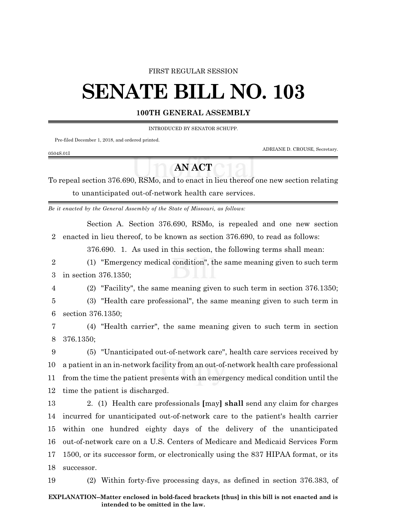#### FIRST REGULAR SESSION

# **SENATE BILL NO. 103**

### **100TH GENERAL ASSEMBLY**

INTRODUCED BY SENATOR SCHUPP.

Pre-filed December 1, 2018, and ordered printed.

ADRIANE D. CROUSE, Secretary.

#### 0504S.01I

## **AN ACT**

To repeal section 376.690, RSMo, and to enact in lieu thereof one new section relating to unanticipated out-of-network health care services.

*Be it enacted by the General Assembly of the State of Missouri, as follows:*

Section A. Section 376.690, RSMo, is repealed and one new section 2 enacted in lieu thereof, to be known as section 376.690, to read as follows:

376.690. 1. As used in this section, the following terms shall mean:

2 (1) "Emergency medical condition", the same meaning given to such term 3 in section 376.1350;

4 (2) "Facility", the same meaning given to such term in section 376.1350;

5 (3) "Health care professional", the same meaning given to such term in 6 section 376.1350;

7 (4) "Health carrier", the same meaning given to such term in section 8 376.1350;

 (5) "Unanticipated out-of-network care", health care services received by a patient in an in-network facility from an out-of-network health care professional from the time the patient presents with an emergency medical condition until the time the patient is discharged.

 2. (1) Health care professionals **[**may**] shall** send any claim for charges incurred for unanticipated out-of-network care to the patient's health carrier within one hundred eighty days of the delivery of the unanticipated out-of-network care on a U.S. Centers of Medicare and Medicaid Services Form 1500, or its successor form, or electronically using the 837 HIPAA format, or its successor.

19 (2) Within forty-five processing days, as defined in section 376.383, of

#### **EXPLANATION--Matter enclosed in bold-faced brackets [thus] in this bill is not enacted and is intended to be omitted in the law.**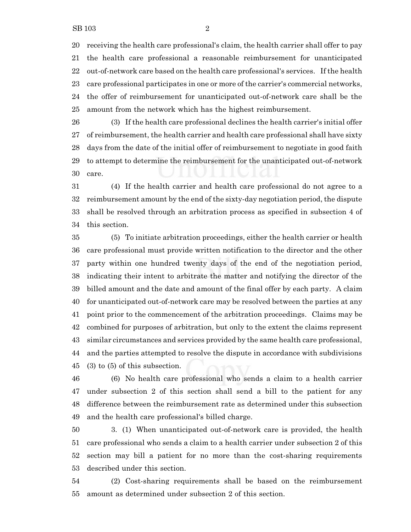receiving the health care professional's claim, the health carrier shall offer to pay the health care professional a reasonable reimbursement for unanticipated out-of-network care based on the health care professional's services. If the health care professional participates in one or more of the carrier's commercial networks, the offer of reimbursement for unanticipated out-of-network care shall be the amount from the network which has the highest reimbursement.

 (3) If the health care professional declines the health carrier's initial offer of reimbursement, the health carrier and health care professional shall have sixty days from the date of the initial offer of reimbursement to negotiate in good faith to attempt to determine the reimbursement for the unanticipated out-of-network care.

 (4) If the health carrier and health care professional do not agree to a reimbursement amount by the end of the sixty-day negotiation period, the dispute shall be resolved through an arbitration process as specified in subsection 4 of this section.

 (5) To initiate arbitration proceedings, either the health carrier or health care professional must provide written notification to the director and the other party within one hundred twenty days of the end of the negotiation period, indicating their intent to arbitrate the matter and notifying the director of the billed amount and the date and amount of the final offer by each party. A claim for unanticipated out-of-network care may be resolved between the parties at any point prior to the commencement of the arbitration proceedings. Claims may be combined for purposes of arbitration, but only to the extent the claims represent similar circumstances and services provided by the same health care professional, and the parties attempted to resolve the dispute in accordance with subdivisions (3) to (5) of this subsection.

 (6) No health care professional who sends a claim to a health carrier under subsection 2 of this section shall send a bill to the patient for any difference between the reimbursement rate as determined under this subsection and the health care professional's billed charge.

 3. (1) When unanticipated out-of-network care is provided, the health care professional who sends a claim to a health carrier under subsection 2 of this section may bill a patient for no more than the cost-sharing requirements described under this section.

 (2) Cost-sharing requirements shall be based on the reimbursement amount as determined under subsection 2 of this section.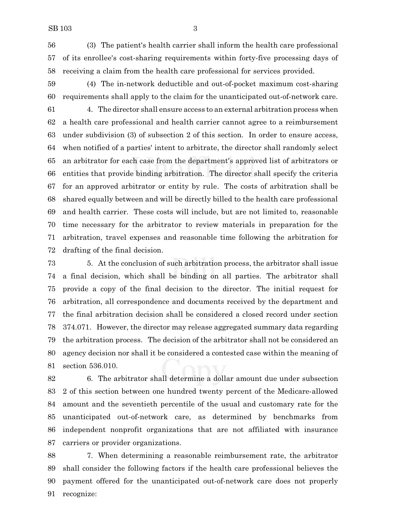(3) The patient's health carrier shall inform the health care professional of its enrollee's cost-sharing requirements within forty-five processing days of receiving a claim from the health care professional for services provided.

 (4) The in-network deductible and out-of-pocket maximum cost-sharing requirements shall apply to the claim for the unanticipated out-of-network care.

 4. The director shall ensure access to an external arbitration process when a health care professional and health carrier cannot agree to a reimbursement under subdivision (3) of subsection 2 of this section. In order to ensure access, when notified of a parties' intent to arbitrate, the director shall randomly select an arbitrator for each case from the department's approved list of arbitrators or entities that provide binding arbitration. The director shall specify the criteria for an approved arbitrator or entity by rule. The costs of arbitration shall be shared equally between and will be directly billed to the health care professional and health carrier. These costs will include, but are not limited to, reasonable time necessary for the arbitrator to review materials in preparation for the arbitration, travel expenses and reasonable time following the arbitration for drafting of the final decision.

 5. At the conclusion of such arbitration process, the arbitrator shall issue a final decision, which shall be binding on all parties. The arbitrator shall provide a copy of the final decision to the director. The initial request for arbitration, all correspondence and documents received by the department and the final arbitration decision shall be considered a closed record under section 374.071. However, the director may release aggregated summary data regarding the arbitration process. The decision of the arbitrator shall not be considered an agency decision nor shall it be considered a contested case within the meaning of section 536.010.

 6. The arbitrator shall determine a dollar amount due under subsection 2 of this section between one hundred twenty percent of the Medicare-allowed amount and the seventieth percentile of the usual and customary rate for the unanticipated out-of-network care, as determined by benchmarks from independent nonprofit organizations that are not affiliated with insurance carriers or provider organizations.

 7. When determining a reasonable reimbursement rate, the arbitrator shall consider the following factors if the health care professional believes the payment offered for the unanticipated out-of-network care does not properly recognize: